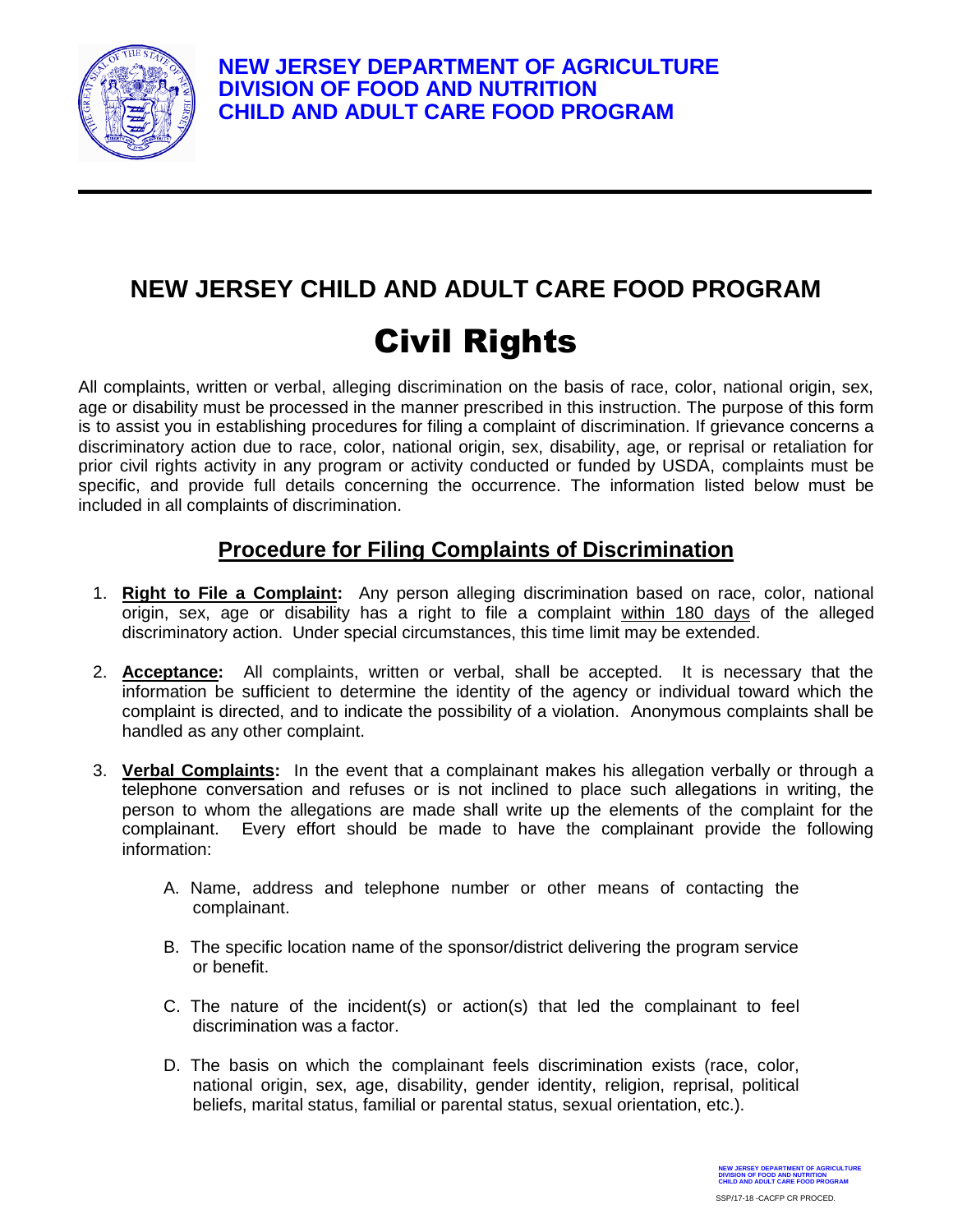

## **NEW JERSEY CHILD AND ADULT CARE FOOD PROGRAM** Civil Rights

All complaints, written or verbal, alleging discrimination on the basis of race, color, national origin, sex, age or disability must be processed in the manner prescribed in this instruction. The purpose of this form is to assist you in establishing procedures for filing a complaint of discrimination. If grievance concerns a discriminatory action due to race, color, national origin, sex, disability, age, or reprisal or retaliation for prior civil rights activity in any program or activity conducted or funded by USDA, complaints must be specific, and provide full details concerning the occurrence. The information listed below must be included in all complaints of discrimination.

## **Procedure for Filing Complaints of Discrimination**

- 1. **Right to File a Complaint:** Any person alleging discrimination based on race, color, national origin, sex, age or disability has a right to file a complaint within 180 days of the alleged discriminatory action. Under special circumstances, this time limit may be extended.
- 2. **Acceptance:** All complaints, written or verbal, shall be accepted. It is necessary that the information be sufficient to determine the identity of the agency or individual toward which the complaint is directed, and to indicate the possibility of a violation. Anonymous complaints shall be handled as any other complaint.
- 3. **Verbal Complaints:** In the event that a complainant makes his allegation verbally or through a telephone conversation and refuses or is not inclined to place such allegations in writing, the person to whom the allegations are made shall write up the elements of the complaint for the complainant. Every effort should be made to have the complainant provide the following information:
	- A. Name, address and telephone number or other means of contacting the complainant.
	- B. The specific location name of the sponsor/district delivering the program service or benefit.
	- C. The nature of the incident(s) or action(s) that led the complainant to feel discrimination was a factor.
	- D. The basis on which the complainant feels discrimination exists (race, color, national origin, sex, age, disability, gender identity, religion, reprisal, political beliefs, marital status, familial or parental status, sexual orientation, etc.).